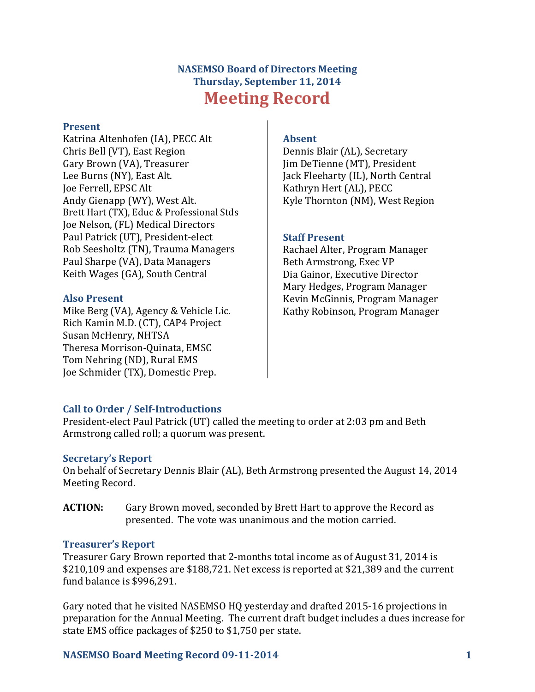# **NASEMSO Board of Directors Meeting Thursday, September 11, 2014 Meeting Record**

#### **Present**

Katrina Altenhofen (IA), PECC Alt Chris Bell (VT), East Region Gary Brown (VA), Treasurer Lee Burns (NY), East Alt. Joe Ferrell, EPSC Alt Andy Gienapp (WY), West Alt. Brett Hart (TX), Educ & Professional Stds Joe Nelson, (FL) Medical Directors Paul Patrick (UT), President-elect Rob Seesholtz (TN), Trauma Managers Paul Sharpe (VA), Data Managers Keith Wages (GA), South Central

### **Also Present**

Mike Berg (VA), Agency & Vehicle Lic. Rich Kamin M.D. (CT), CAP4 Project Susan McHenry, NHTSA Theresa Morrison-Quinata, EMSC Tom Nehring (ND), Rural EMS Joe Schmider (TX), Domestic Prep.

### **Absent**

Dennis Blair (AL), Secretary Jim DeTienne (MT), President Jack Fleeharty (IL), North Central Kathryn Hert (AL), PECC Kyle Thornton (NM), West Region

## **Staff Present**

Rachael Alter, Program Manager Beth Armstrong, Exec VP Dia Gainor, Executive Director Mary Hedges, Program Manager Kevin McGinnis, Program Manager Kathy Robinson, Program Manager

# **Call to Order / Self-Introductions**

President-elect Paul Patrick (UT) called the meeting to order at 2:03 pm and Beth Armstrong called roll; a quorum was present.

## **Secretary's Report**

On behalf of Secretary Dennis Blair (AL), Beth Armstrong presented the August 14, 2014 Meeting Record.

**ACTION:** Gary Brown moved, seconded by Brett Hart to approve the Record as presented. The vote was unanimous and the motion carried.

### **Treasurer's Report**

Treasurer Gary Brown reported that 2-months total income as of August 31, 2014 is \$210,109 and expenses are \$188,721. Net excess is reported at \$21,389 and the current fund balance is \$996,291.

Gary noted that he visited NASEMSO HQ yesterday and drafted 2015-16 projections in preparation for the Annual Meeting. The current draft budget includes a dues increase for state EMS office packages of \$250 to \$1,750 per state.

## **NASEMSO Board Meeting Record 09-11-2014 1**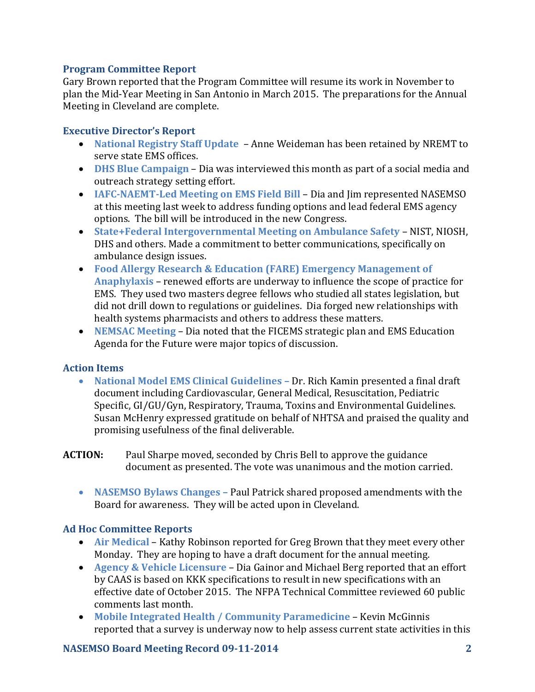### **Program Committee Report**

Gary Brown reported that the Program Committee will resume its work in November to plan the Mid-Year Meeting in San Antonio in March 2015. The preparations for the Annual Meeting in Cleveland are complete.

### **Executive Director's Report**

- **National Registry Staff Update**  Anne Weideman has been retained by NREMT to serve state EMS offices.
- **DHS Blue Campaign** Dia was interviewed this month as part of a social media and outreach strategy setting effort.
- **IAFC-NAEMT-Led Meeting on EMS Field Bill** Dia and Jim represented NASEMSO at this meeting last week to address funding options and lead federal EMS agency options. The bill will be introduced in the new Congress.
- **State+Federal Intergovernmental Meeting on Ambulance Safety**  NIST, NIOSH, DHS and others. Made a commitment to better communications, specifically on ambulance design issues.
- **Food Allergy Research & Education (FARE) Emergency Management of Anaphylaxis** – renewed efforts are underway to influence the scope of practice for EMS. They used two masters degree fellows who studied all states legislation, but did not drill down to regulations or guidelines. Dia forged new relationships with health systems pharmacists and others to address these matters.
- **NEMSAC Meeting**  Dia noted that the FICEMS strategic plan and EMS Education Agenda for the Future were major topics of discussion.

## **Action Items**

- **National Model EMS Clinical Guidelines –** Dr. Rich Kamin presented a final draft document including Cardiovascular, General Medical, Resuscitation, Pediatric Specific, GI/GU/Gyn, Respiratory, Trauma, Toxins and Environmental Guidelines. Susan McHenry expressed gratitude on behalf of NHTSA and praised the quality and promising usefulness of the final deliverable.
- **ACTION:** Paul Sharpe moved, seconded by Chris Bell to approve the guidance document as presented. The vote was unanimous and the motion carried.
	- **NASEMSO Bylaws Changes –** Paul Patrick shared proposed amendments with the Board for awareness. They will be acted upon in Cleveland.

## **Ad Hoc Committee Reports**

- **Air Medical** Kathy Robinson reported for Greg Brown that they meet every other Monday. They are hoping to have a draft document for the annual meeting.
- **Agency & Vehicle Licensure**  Dia Gainor and Michael Berg reported that an effort by CAAS is based on KKK specifications to result in new specifications with an effective date of October 2015. The NFPA Technical Committee reviewed 60 public comments last month.
- **Mobile Integrated Health / Community Paramedicine**  Kevin McGinnis reported that a survey is underway now to help assess current state activities in this

## **NASEMSO Board Meeting Record 09-11-2014 2**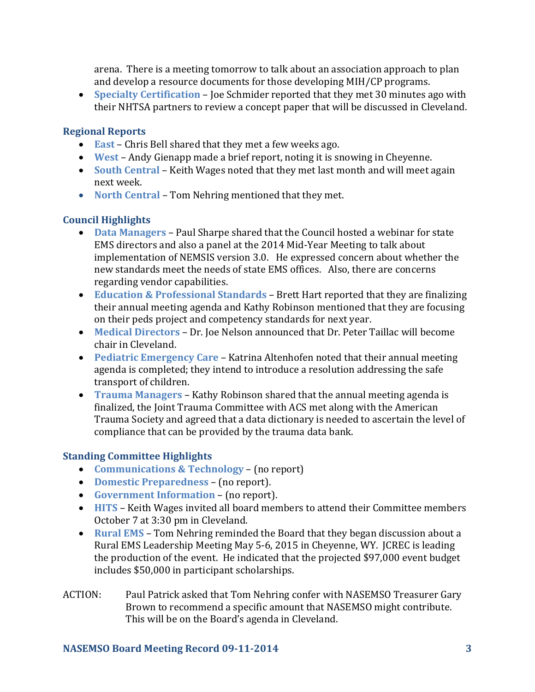arena. There is a meeting tomorrow to talk about an association approach to plan and develop a resource documents for those developing MIH/CP programs.

 **Specialty Certification** – Joe Schmider reported that they met 30 minutes ago with their NHTSA partners to review a concept paper that will be discussed in Cleveland.

### **Regional Reports**

- **East** Chris Bell shared that they met a few weeks ago.
- **West**  Andy Gienapp made a brief report, noting it is snowing in Cheyenne.
- **South Central**  Keith Wages noted that they met last month and will meet again next week.
- **North Central**  Tom Nehring mentioned that they met.

## **Council Highlights**

- **Data Managers** Paul Sharpe shared that the Council hosted a webinar for state EMS directors and also a panel at the 2014 Mid-Year Meeting to talk about implementation of NEMSIS version 3.0. He expressed concern about whether the new standards meet the needs of state EMS offices. Also, there are concerns regarding vendor capabilities.
- **Education & Professional Standards** Brett Hart reported that they are finalizing their annual meeting agenda and Kathy Robinson mentioned that they are focusing on their peds project and competency standards for next year.
- **Medical Directors** Dr. Joe Nelson announced that Dr. Peter Taillac will become chair in Cleveland.
- **Pediatric Emergency Care** Katrina Altenhofen noted that their annual meeting agenda is completed; they intend to introduce a resolution addressing the safe transport of children.
- **Trauma Managers** Kathy Robinson shared that the annual meeting agenda is finalized, the Joint Trauma Committee with ACS met along with the American Trauma Society and agreed that a data dictionary is needed to ascertain the level of compliance that can be provided by the trauma data bank.

### **Standing Committee Highlights**

- **Communications & Technology** (no report)
- **Domestic Preparedness** (no report).
- **Government Information**  (no report).
- **HITS**  Keith Wages invited all board members to attend their Committee members October 7 at 3:30 pm in Cleveland.
- **Rural EMS**  Tom Nehring reminded the Board that they began discussion about a Rural EMS Leadership Meeting May 5-6, 2015 in Cheyenne, WY. JCREC is leading the production of the event. He indicated that the projected \$97,000 event budget includes \$50,000 in participant scholarships.
- ACTION: Paul Patrick asked that Tom Nehring confer with NASEMSO Treasurer Gary Brown to recommend a specific amount that NASEMSO might contribute. This will be on the Board's agenda in Cleveland.

### **NASEMSO Board Meeting Record 09-11-2014 3**